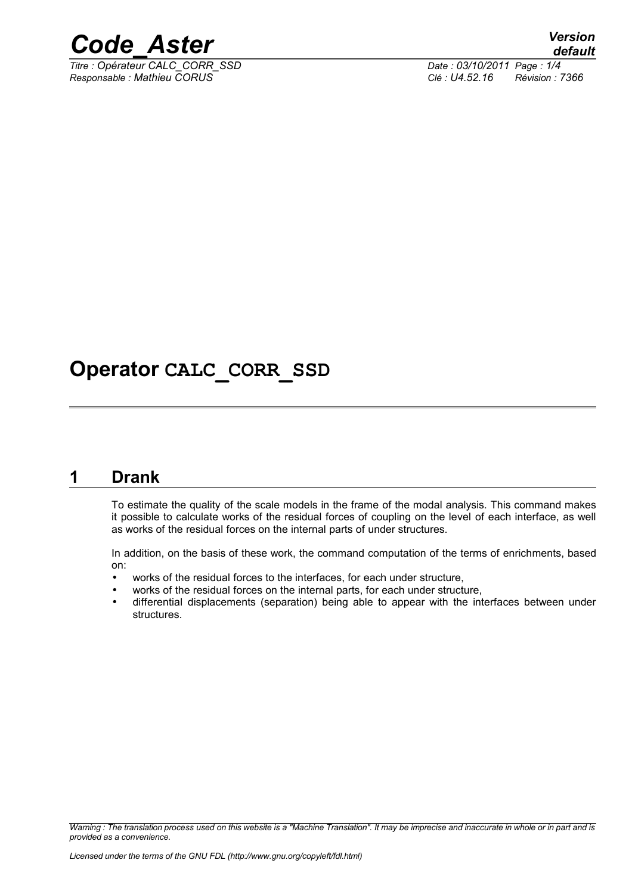

*Titre : Opérateur CALC\_CORR\_SSD Date : 03/10/2011 Page : 1/4 Responsable : Mathieu CORUS Clé : U4.52.16 Révision : 7366*

## **Operator CALC\_CORR\_SSD**

#### **1 Drank**

<span id="page-0-0"></span>To estimate the quality of the scale models in the frame of the modal analysis. This command makes it possible to calculate works of the residual forces of coupling on the level of each interface, as well as works of the residual forces on the internal parts of under structures.

In addition, on the basis of these work, the command computation of the terms of enrichments, based on:

- works of the residual forces to the interfaces, for each under structure,
- works of the residual forces on the internal parts, for each under structure,
- differential displacements (separation) being able to appear with the interfaces between under structures.

*Warning : The translation process used on this website is a "Machine Translation". It may be imprecise and inaccurate in whole or in part and is provided as a convenience.*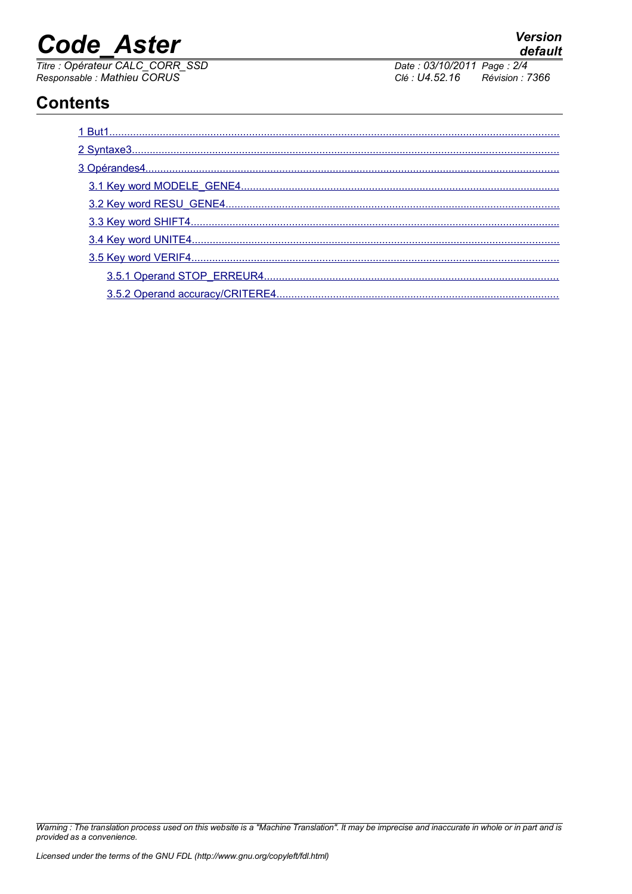# **Code Aster**

Titre : Opérateur CALC\_CORR\_SSD<br>Responsable : Mathieu CORUS

Date: 03/10/2011 Page: 2/4 Clé : U4.52.16 Révision : 7366

### **Contents**

Warning : The translation process used on this website is a "Machine Translation". It may be imprecise and inaccurate in whole or in part and is provided as a convenience.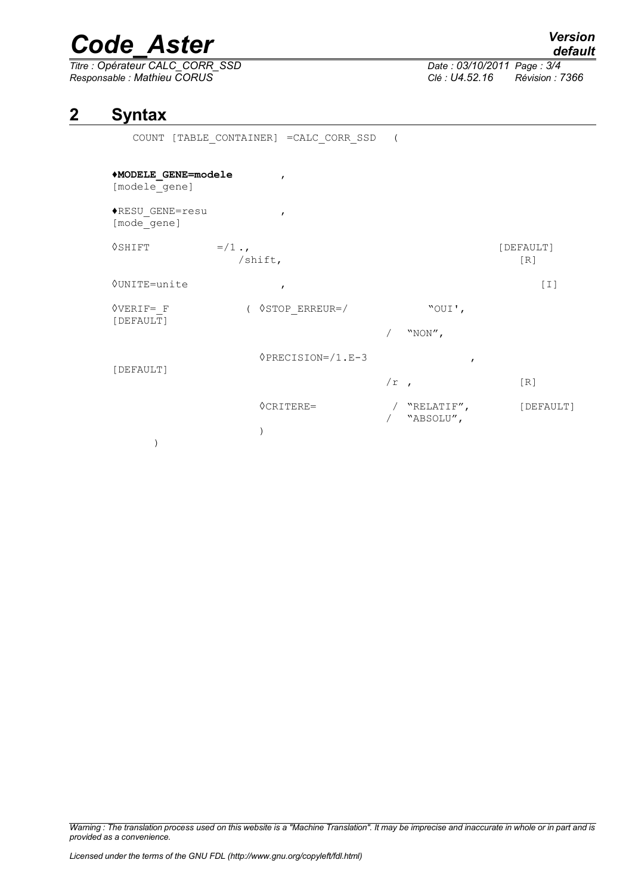## *Code\_Aster Version*

*Titre : Opérateur CALC\_CORR\_SSD Date : 03/10/2011 Page : 3/4 Responsable : Mathieu CORUS Clé : U4.52.16 Révision : 7366*

#### **2 Syntax**

<span id="page-2-0"></span>COUNT [TABLE\_CONTAINER] =CALC\_CORR\_SSD (

#### **♦MODELE\_GENE=modele** ,

[modele\_gene]

♦RESU\_GENE=resu , [mode\_gene]

 $\Diamond$ SHIFT  $=$ /1 .,  $[DEFAULT]$ /shift, [R] ◊UNITE=unite , [I]

◊VERIF=\_F ( ◊STOP\_ERREUR=/ "OUI',

)

 $/$  "NON",

◊PRECISION=/1.E-3 ,

[DEFAULT]

)

[DEFAULT]

 $/r$  ,  $[R]$ ◊CRITERE= / "RELATIF", [DEFAULT]

/ "ABSOLU",

*Warning : The translation process used on this website is a "Machine Translation". It may be imprecise and inaccurate in whole or in part and is provided as a convenience.*